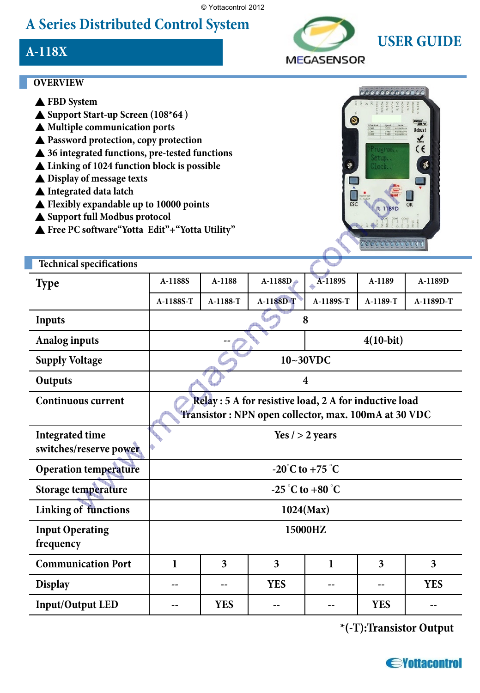© Yottacontrol 2012

## **A Series Distributed Control System**

### **A-118X**



#### **OVERVIEW**

- ▲ **FBD System**
- ▲ **Support Start-up Screen (108\*64 )**
- ▲ **Multiple communication ports**
- ▲ **Password protection, copy protection**
- ▲ **36 integrated functions, pre-tested functions**
- ▲ **Linking of 1024 function block is possible**
- ▲ **Display of message texts**
- ▲ **Integrated data latch**
- ▲ **Flexibly expandable up to 10000 points**
- ▲ **Support full Modbus protocol**
- ▲ **Free PC software"Yotta Edit"+"Yotta Utility"**



| <b>Technical specifications</b>                  |                                                                                                                |            |                         |              |            |            |
|--------------------------------------------------|----------------------------------------------------------------------------------------------------------------|------------|-------------------------|--------------|------------|------------|
| <b>Type</b>                                      | A-1188S                                                                                                        | A-1188     | $A-1188D$               | A-1189S      | A-1189     | A-1189D    |
|                                                  | A-1188S-T                                                                                                      | A-1188-T   | A-1188D-T               | A-1189S-T    | A-1189-T   | A-1189D-T  |
| <b>Inputs</b>                                    | 8                                                                                                              |            |                         |              |            |            |
| <b>Analog inputs</b>                             |                                                                                                                |            |                         | $4(10-bit)$  |            |            |
| <b>Supply Voltage</b>                            | $10~30$ VDC                                                                                                    |            |                         |              |            |            |
| Outputs                                          | $\boldsymbol{4}$                                                                                               |            |                         |              |            |            |
| <b>Continuous current</b>                        | Relay : 5 A for resistive load, 2 A for inductive load<br>Transistor: NPN open collector, max. 100mA at 30 VDC |            |                         |              |            |            |
| <b>Integrated time</b><br>switches/reserve power | Yes $/$ > 2 years                                                                                              |            |                         |              |            |            |
| <b>Operation temperature</b>                     | $-20^{\circ}$ C to $+75^{\circ}$ C                                                                             |            |                         |              |            |            |
| Storage temperature                              | $-25^\circ$ C to $+80^\circ$ C                                                                                 |            |                         |              |            |            |
| <b>Linking of functions</b>                      | $1024$ (Max)                                                                                                   |            |                         |              |            |            |
| <b>Input Operating</b><br>frequency              | 15000HZ                                                                                                        |            |                         |              |            |            |
| <b>Communication Port</b>                        | $\mathbf{1}$                                                                                                   | 3          | $\overline{\mathbf{3}}$ | $\mathbf{1}$ | 3          | 3          |
| <b>Display</b>                                   |                                                                                                                |            | <b>YES</b>              |              |            | <b>YES</b> |
| <b>Input/Output LED</b>                          |                                                                                                                | <b>YES</b> |                         |              | <b>YES</b> |            |

**\*(-T):Transistor Output**

*<u>Sylutacontrol</u>*